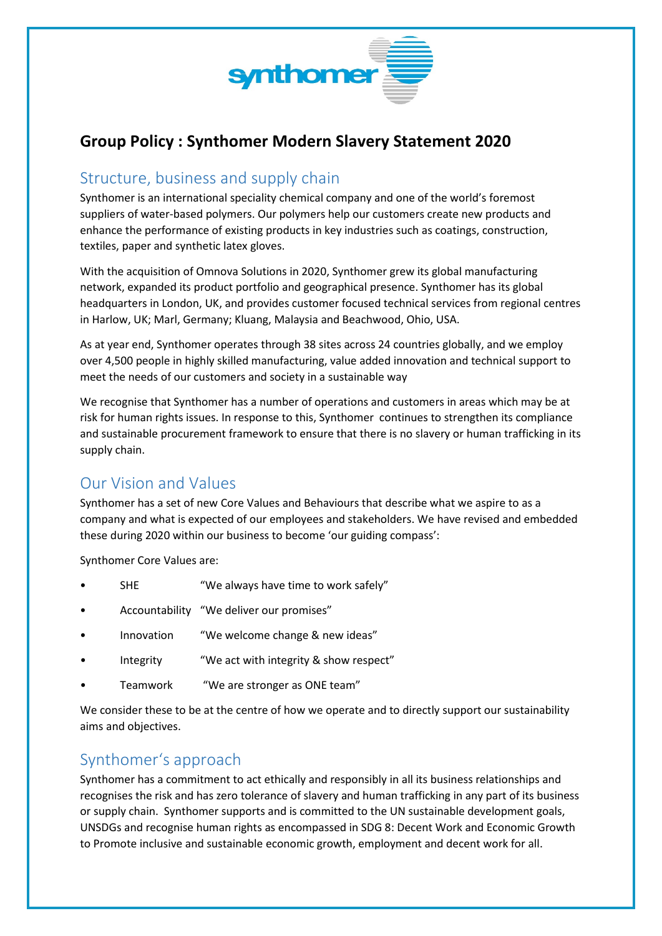

# **Group Policy : Synthomer Modern Slavery Statement 2020**

#### Structure, business and supply chain

Synthomer is an international speciality chemical company and one of the world's foremost suppliers of water-based polymers. Our polymers help our customers create new products and enhance the performance of existing products in key industries such as coatings, construction, textiles, paper and synthetic latex gloves.

With the acquisition of Omnova Solutions in 2020, Synthomer grew its global manufacturing network, expanded its product portfolio and geographical presence. Synthomer has its global headquarters in London, UK, and provides customer focused technical services from regional centres in Harlow, UK; Marl, Germany; Kluang, Malaysia and Beachwood, Ohio, USA.

As at year end, Synthomer operates through 38 sites across 24 countries globally, and we employ over 4,500 people in highly skilled manufacturing, value added innovation and technical support to meet the needs of our customers and society in a sustainable way

We recognise that Synthomer has a number of operations and customers in areas which may be at risk for human rights issues. In response to this, Synthomer continues to strengthen its compliance and sustainable procurement framework to ensure that there is no slavery or human trafficking in its supply chain.

## Our Vision and Values

Synthomer has a set of new Core Values and Behaviours that describe what we aspire to as a company and what is expected of our employees and stakeholders. We have revised and embedded these during 2020 within our business to become 'our guiding compass':

Synthomer Core Values are:

- SHE "We always have time to work safely"
- Accountability "We deliver our promises"
- Innovation "We welcome change & new ideas"
- Integrity "We act with integrity & show respect"
- Teamwork "We are stronger as ONE team"

We consider these to be at the centre of how we operate and to directly support our sustainability aims and objectives.

## Synthomer's approach

Synthomer has a commitment to act ethically and responsibly in all its business relationships and recognises the risk and has zero tolerance of slavery and human trafficking in any part of its business or supply chain. Synthomer supports and is committed to the UN sustainable development goals, UNSDGs and recognise human rights as encompassed in SDG 8: Decent Work and Economic Growth to Promote inclusive and sustainable economic growth, employment and decent work for all.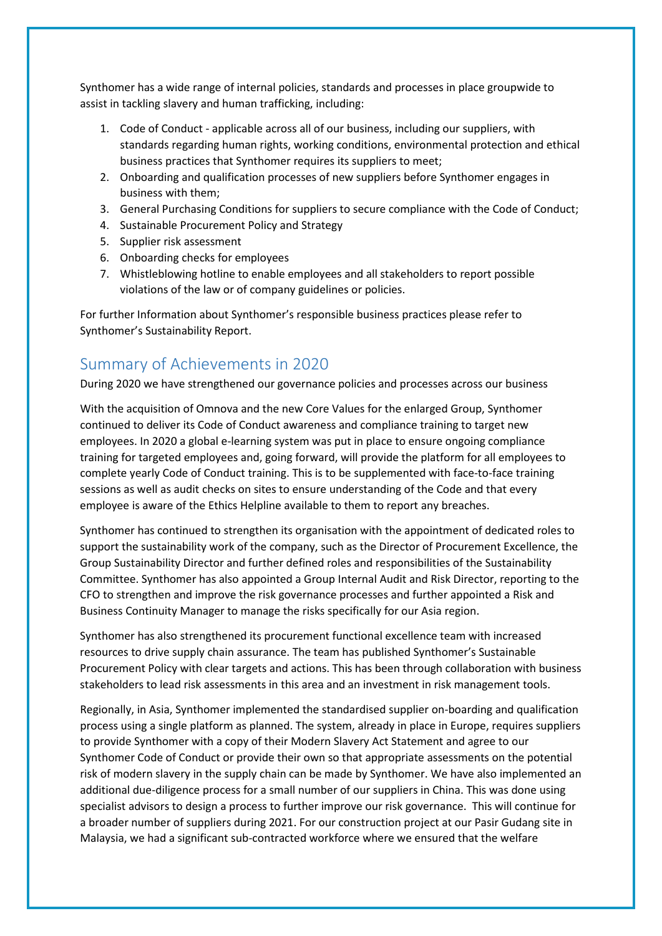Synthomer has a wide range of internal policies, standards and processes in place groupwide to assist in tackling slavery and human trafficking, including:

- 1. Code of Conduct applicable across all of our business, including our suppliers, with standards regarding human rights, working conditions, environmental protection and ethical business practices that Synthomer requires its suppliers to meet;
- 2. Onboarding and qualification processes of new suppliers before Synthomer engages in business with them;
- 3. General Purchasing Conditions for suppliers to secure compliance with the Code of Conduct;
- 4. Sustainable Procurement Policy and Strategy
- 5. Supplier risk assessment
- 6. Onboarding checks for employees
- 7. Whistleblowing hotline to enable employees and all stakeholders to report possible violations of the law or of company guidelines or policies.

For further Information about Synthomer's responsible business practices please refer to Synthomer's Sustainability Report.

#### Summary of Achievements in 2020

During 2020 we have strengthened our governance policies and processes across our business

With the acquisition of Omnova and the new Core Values for the enlarged Group, Synthomer continued to deliver its Code of Conduct awareness and compliance training to target new employees. In 2020 a global e-learning system was put in place to ensure ongoing compliance training for targeted employees and, going forward, will provide the platform for all employees to complete yearly Code of Conduct training. This is to be supplemented with face-to-face training sessions as well as audit checks on sites to ensure understanding of the Code and that every employee is aware of the Ethics Helpline available to them to report any breaches.

Synthomer has continued to strengthen its organisation with the appointment of dedicated roles to support the sustainability work of the company, such as the Director of Procurement Excellence, the Group Sustainability Director and further defined roles and responsibilities of the Sustainability Committee. Synthomer has also appointed a Group Internal Audit and Risk Director, reporting to the CFO to strengthen and improve the risk governance processes and further appointed a Risk and Business Continuity Manager to manage the risks specifically for our Asia region.

Synthomer has also strengthened its procurement functional excellence team with increased resources to drive supply chain assurance. The team has published Synthomer's Sustainable Procurement Policy with clear targets and actions. This has been through collaboration with business stakeholders to lead risk assessments in this area and an investment in risk management tools.

Regionally, in Asia, Synthomer implemented the standardised supplier on-boarding and qualification process using a single platform as planned. The system, already in place in Europe, requires suppliers to provide Synthomer with a copy of their Modern Slavery Act Statement and agree to our Synthomer Code of Conduct or provide their own so that appropriate assessments on the potential risk of modern slavery in the supply chain can be made by Synthomer. We have also implemented an additional due-diligence process for a small number of our suppliers in China. This was done using specialist advisors to design a process to further improve our risk governance. This will continue for a broader number of suppliers during 2021. For our construction project at our Pasir Gudang site in Malaysia, we had a significant sub-contracted workforce where we ensured that the welfare